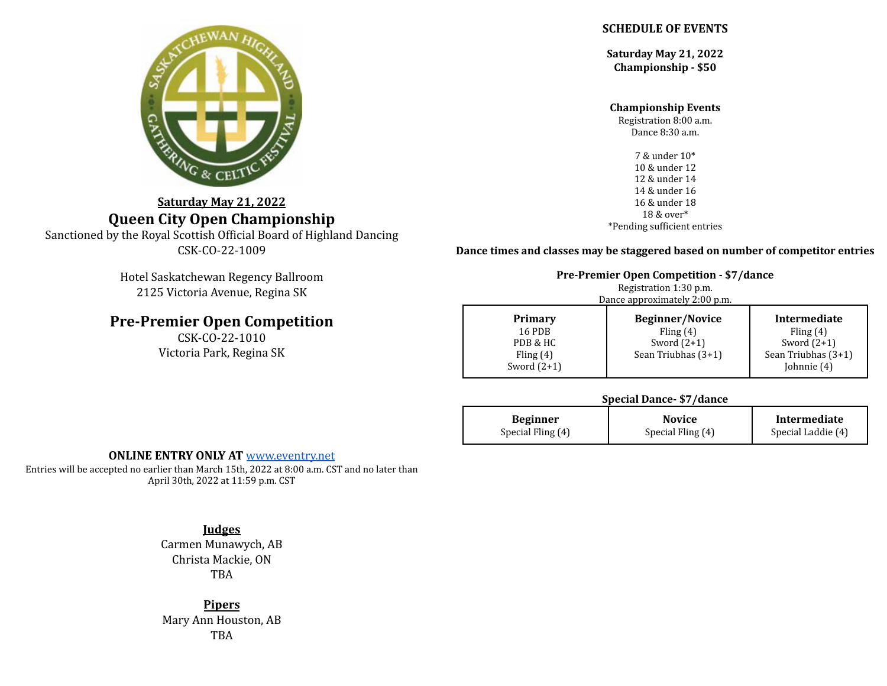

# **Saturday May 21, 2022 Queen City Open Championship**

Sanctioned by the Royal Scottish Official Board of Highland Dancing CSK-CO-22-1009

> Hotel Saskatchewan Regency Ballroom 2125 Victoria Avenue, Regina SK

# **Pre-Premier Open Competition**

CSK-CO-22-1010 Victoria Park, Regina SK

### **SCHEDULE OF EVENTS**

**Saturday May 21, 2022 Championship - \$50**

#### **Championship Events**

Registration 8:00 a.m. Dance 8:30 a.m.

7 & under 10\* 10 & under 12 12 & under 14 14 & under 16 16 & under 18 18 & over\* \*Pending sufficient entries

#### **Dance times and classes may be staggered based on number of competitor entries**

| <b>Pre-Premier Open Competition - \$7/dance</b><br>Registration 1:30 p.m.<br>Dance approximately 2:00 p.m. |                                                                               |                                                                                    |  |  |  |
|------------------------------------------------------------------------------------------------------------|-------------------------------------------------------------------------------|------------------------------------------------------------------------------------|--|--|--|
| <b>Primary</b><br><b>16 PDB</b><br>PDB & HC<br>Fling $(4)$<br>Sword $(2+1)$                                | <b>Beginner/Novice</b><br>Fling $(4)$<br>Sword $(2+1)$<br>Sean Triubhas (3+1) | Intermediate<br>Fling $(4)$<br>Sword $(2+1)$<br>Sean Triubhas (3+1)<br>Johnnie (4) |  |  |  |

### **Special Dance- \$7/dance**

| <b>Beginner</b>   | <b>Novice</b>     |                    |
|-------------------|-------------------|--------------------|
| Special Fling (4) | Special Fling (4) | Special Laddie (4) |

### **ONLINE ENTRY ONLY AT** [www.eventry.net](https://www.eventry.net/)

Entries will be accepted no earlier than March 15th, 2022 at 8:00 a.m. CST and no later than April 30th, 2022 at 11:59 p.m. CST

> **Judges** Carmen Munawych, AB Christa Mackie, ON TBA

**Pipers** Mary Ann Houston, AB TBA